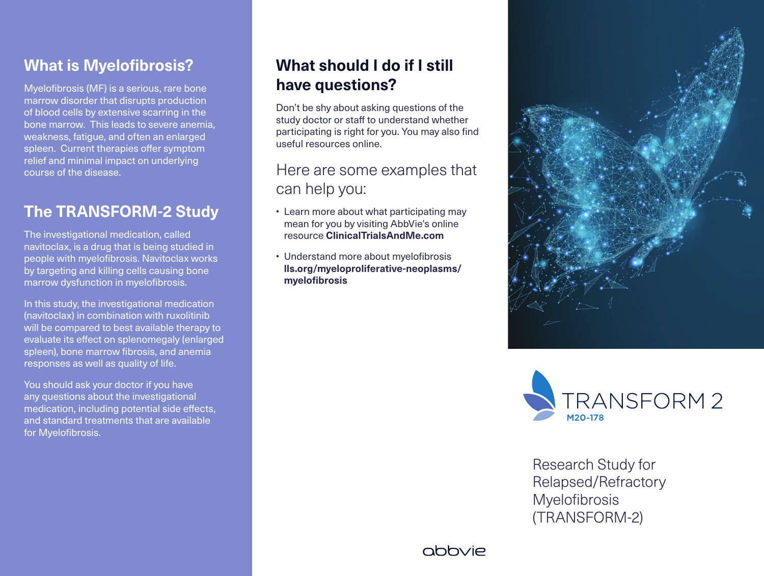### **What is Myelofibrosis?**

Myelofibrosis (MF) is a serious, rare bone marrow disorder that disrupts production of blood cells by extensive scarring in the bone marrow. This leads to severe anemia, weakness, fatigue, and often an enlarged spleen. Current therapies offer symptom relief and minimal impact on underlying course of the disease.

## **The TRANSFORM-2 Study**

The investigational medication, called navitoclax, is a drug that is being studied in people with myelofibrosis. Navitoclax works by targeting and killing cells causing bone marrow dysfunction in myelofibrosis.

In this study, the investigational medication (navitoclax) in combination with ruxolitinib will be compared to best available therapy to evaluate its effect on splenomegaly (enlarged spleen), bone marrow fibrosis, and anemia responses as well as quality of life.

You should ask your doctor if you have any questions about the investigational medication, including potential side effects, and standard treatments that are available for Myelofibrosis.

## **What should I do if I still have questions?**

Don't be shy about asking questions of the study doctor or staff to understand whether participating is right for you. You may also find useful resources online.

#### Here are some examples that can help you:

- Learn more about what participating may mean for you by visiting AbbVie's online resource **ClinicalTrialsAndMe.com**
- Understand more about myelofibrosis **lls.org/myeloproliferative-neoplasms/ myelofibrosis**





Research Study for Relapsed/Refractory **Myelofibrosis** (TRANSFORM-2)

abbyje